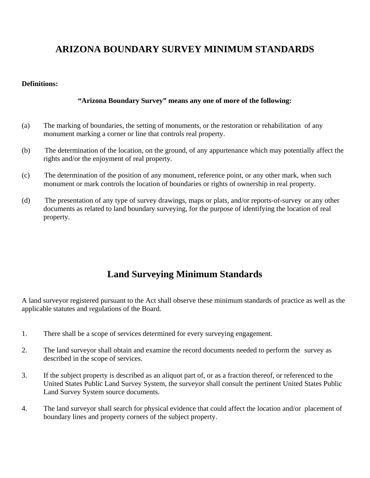## **ARIZONA BOUNDARY SURVEY MINIMUM STANDARDS**

## **Definitions:**

## **"Arizona Boundary Survey" means any one of more of the following:**

- (a) The marking of boundaries, the setting of monuments, or the restoration or rehabilitation of any monument marking a corner or line that controls real property.
- (b) The determination of the location, on the ground, of any appurtenance which may potentially affect the rights and/or the enjoyment of real property.
- (c) The determination of the position of any monument, reference point, or any other mark, when such monument or mark controls the location of boundaries or rights of ownership in real property.
- (d) The presentation of any type of survey drawings, maps or plats, and/or reports-of-survey or any other documents as related to land boundary surveying, for the purpose of identifying the location of real property.

## **Land Surveying Minimum Standards**

A land surveyor registered pursuant to the Act shall observe these minimum standards of practice as well as the applicable statutes and regulations of the Board.

- 1. There shall be a scope of services determined for every surveying engagement.
- 2. The land surveyor shall obtain and examine the record documents needed to perform the survey as described in the scope of services.
- 3. If the subject property is described as an aliquot part of, or as a fraction thereof, or referenced to the United States Public Land Survey System, the surveyor shall consult the pertinent United States Public Land Survey System source documents.
- 4. The land surveyor shall search for physical evidence that could affect the location and/or placement of boundary lines and property corners of the subject property.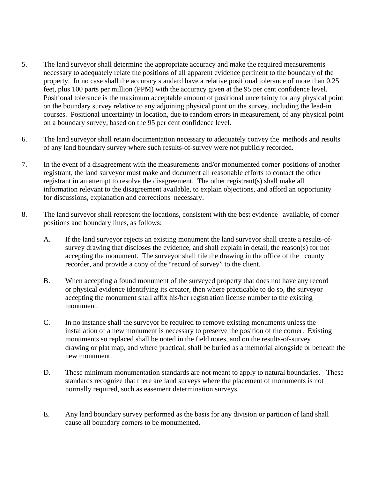- 5. The land surveyor shall determine the appropriate accuracy and make the required measurements necessary to adequately relate the positions of all apparent evidence pertinent to the boundary of the property. In no case shall the accuracy standard have a relative positional tolerance of more than 0.25 feet, plus 100 parts per million (PPM) with the accuracy given at the 95 per cent confidence level. Positional tolerance is the maximum acceptable amount of positional uncertainty for any physical point on the boundary survey relative to any adjoining physical point on the survey, including the lead-in courses. Positional uncertainty in location, due to random errors in measurement, of any physical point on a boundary survey, based on the 95 per cent confidence level.
- 6. The land surveyor shall retain documentation necessary to adequately convey the methods and results of any land boundary survey where such results-of-survey were not publicly recorded.
- 7. In the event of a disagreement with the measurements and/or monumented corner positions of another registrant, the land surveyor must make and document all reasonable efforts to contact the other registrant in an attempt to resolve the disagreement. The other registrant(s) shall make all information relevant to the disagreement available, to explain objections, and afford an opportunity for discussions, explanation and corrections necessary.
- 8. The land surveyor shall represent the locations, consistent with the best evidence available, of corner positions and boundary lines, as follows:
	- A. If the land surveyor rejects an existing monument the land surveyor shall create a results-of survey drawing that discloses the evidence, and shall explain in detail, the reason(s) for not accepting the monument. The surveyor shall file the drawing in the office of the county recorder, and provide a copy of the "record of survey" to the client.
	- B. When accepting a found monument of the surveyed property that does not have any record or physical evidence identifying its creator, then where practicable to do so, the surveyor accepting the monument shall affix his/her registration license number to the existing monument.
	- C. In no instance shall the surveyor be required to remove existing monuments unless the installation of a new monument is necessary to preserve the position of the corner. Existing monuments so replaced shall be noted in the field notes, and on the results-of-survey drawing or plat map, and where practical, shall be buried as a memorial alongside or beneath the new monument.
	- D. These minimum monumentation standards are not meant to apply to natural boundaries. These standards recognize that there are land surveys where the placement of monuments is not normally required, such as easement determination surveys.
	- E. Any land boundary survey performed as the basis for any division or partition of land shall cause all boundary corners to be monumented.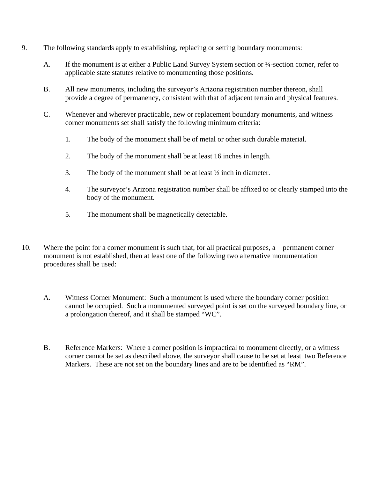- 9. The following standards apply to establishing, replacing or setting boundary monuments:
	- A. If the monument is at either a Public Land Survey System section or ¼-section corner, refer to applicable state statutes relative to monumenting those positions.
	- B. All new monuments, including the surveyor's Arizona registration number thereon, shall provide a degree of permanency, consistent with that of adjacent terrain and physical features.
	- C. Whenever and wherever practicable, new or replacement boundary monuments, and witness corner monuments set shall satisfy the following minimum criteria:
		- 1. The body of the monument shall be of metal or other such durable material.
		- 2. The body of the monument shall be at least 16 inches in length.
		- 3. The body of the monument shall be at least  $\frac{1}{2}$  inch in diameter.
		- 4. The surveyor's Arizona registration number shall be affixed to or clearly stamped into the body of the monument.
		- 5. The monument shall be magnetically detectable.
- 10. Where the point for a corner monument is such that, for all practical purposes, a permanent corner monument is not established, then at least one of the following two alternative monumentation procedures shall be used:
	- A. Witness Corner Monument: Such a monument is used where the boundary corner position cannot be occupied. Such a monumented surveyed point is set on the surveyed boundary line, or a prolongation thereof, and it shall be stamped "WC".
	- B. Reference Markers: Where a corner position is impractical to monument directly, or a witness corner cannot be set as described above, the surveyor shall cause to be set at least two Reference Markers. These are not set on the boundary lines and are to be identified as "RM".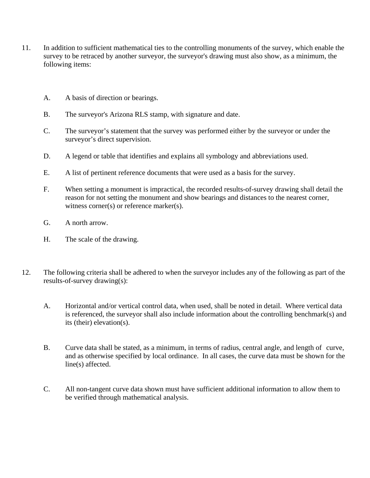- 11. In addition to sufficient mathematical ties to the controlling monuments of the survey, which enable the survey to be retraced by another surveyor, the surveyor's drawing must also show, as a minimum, the following items:
	- A. A basis of direction or bearings.
	- B. The surveyor's Arizona RLS stamp, with signature and date.
	- C. The surveyor's statement that the survey was performed either by the surveyor or under the surveyor's direct supervision.
	- D. A legend or table that identifies and explains all symbology and abbreviations used.
	- E. A list of pertinent reference documents that were used as a basis for the survey.
	- F. When setting a monument is impractical, the recorded results-of-survey drawing shall detail the reason for not setting the monument and show bearings and distances to the nearest corner, witness corner(s) or reference marker(s).
	- G. A north arrow.
	- H. The scale of the drawing.
- 12. The following criteria shall be adhered to when the surveyor includes any of the following as part of the results-of-survey drawing(s):
	- A. Horizontal and/or vertical control data, when used, shall be noted in detail. Where vertical data is referenced, the surveyor shall also include information about the controlling benchmark(s) and its (their) elevation(s).
	- B. Curve data shall be stated, as a minimum, in terms of radius, central angle, and length of curve, and as otherwise specified by local ordinance. In all cases, the curve data must be shown for the line(s) affected.
	- C. All non-tangent curve data shown must have sufficient additional information to allow them to be verified through mathematical analysis.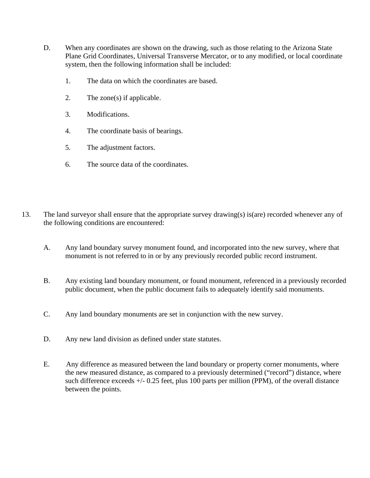- D. When any coordinates are shown on the drawing, such as those relating to the Arizona State Plane Grid Coordinates, Universal Transverse Mercator, or to any modified, or local coordinate system, then the following information shall be included:
	- 1. The data on which the coordinates are based.
	- 2. The zone(s) if applicable.
	- 3. Modifications.
	- 4. The coordinate basis of bearings.
	- 5. The adjustment factors.
	- 6. The source data of the coordinates.
- 13. The land surveyor shall ensure that the appropriate survey drawing(s) is(are) recorded whenever any of the following conditions are encountered:
	- A. Any land boundary survey monument found, and incorporated into the new survey, where that monument is not referred to in or by any previously recorded public record instrument.
	- B. Any existing land boundary monument, or found monument, referenced in a previously recorded public document, when the public document fails to adequately identify said monuments.
	- C. Any land boundary monuments are set in conjunction with the new survey.
	- D. Any new land division as defined under state statutes.
	- E. Any difference as measured between the land boundary or property corner monuments, where the new measured distance, as compared to a previously determined ("record") distance, where such difference exceeds +/- 0.25 feet, plus 100 parts per million (PPM), of the overall distance between the points.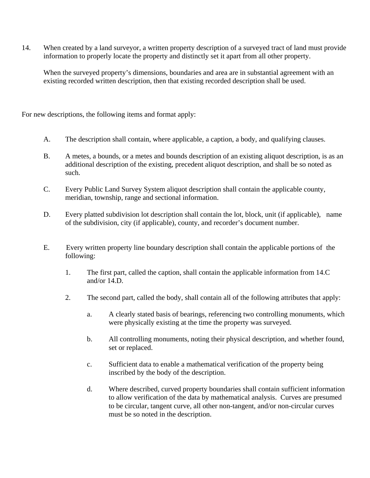14. When created by a land surveyor, a written property description of a surveyed tract of land must provide information to properly locate the property and distinctly set it apart from all other property.

 When the surveyed property's dimensions, boundaries and area are in substantial agreement with an existing recorded written description, then that existing recorded description shall be used.

For new descriptions, the following items and format apply:

- A. The description shall contain, where applicable, a caption, a body, and qualifying clauses.
- B. A metes, a bounds, or a metes and bounds description of an existing aliquot description, is as an additional description of the existing, precedent aliquot description, and shall be so noted as such.
- C. Every Public Land Survey System aliquot description shall contain the applicable county, meridian, township, range and sectional information.
- D. Every platted subdivision lot description shall contain the lot, block, unit (if applicable), name of the subdivision, city (if applicable), county, and recorder's document number.
- E. Every written property line boundary description shall contain the applicable portions of the following:
	- 1. The first part, called the caption, shall contain the applicable information from 14.C and/or 14.D.
	- 2. The second part, called the body, shall contain all of the following attributes that apply:
		- a. A clearly stated basis of bearings, referencing two controlling monuments, which were physically existing at the time the property was surveyed.
		- b. All controlling monuments, noting their physical description, and whether found, set or replaced.
		- c. Sufficient data to enable a mathematical verification of the property being inscribed by the body of the description.
		- d. Where described, curved property boundaries shall contain sufficient information to allow verification of the data by mathematical analysis. Curves are presumed to be circular, tangent curve, all other non-tangent, and/or non-circular curves must be so noted in the description.